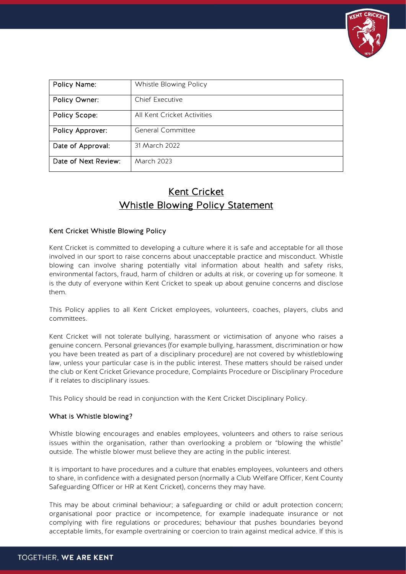

| Policy Name:         | Whistle Blowing Policy      |
|----------------------|-----------------------------|
| Policy Owner:        | Chief Executive             |
| Policy Scope:        | All Kent Cricket Activities |
| Policy Approver:     | <b>General Committee</b>    |
| Date of Approval:    | 31 March 2022               |
| Date of Next Review: | March 2023                  |

# Kent Cricket Whistle Blowing Policy Statement

## Kent Cricket Whistle Blowing Policy

Kent Cricket is committed to developing a culture where it is safe and acceptable for all those involved in our sport to raise concerns about unacceptable practice and misconduct. Whistle blowing can involve sharing potentially vital information about health and safety risks, environmental factors, fraud, harm of children or adults at risk, or covering up for someone. It is the duty of everyone within Kent Cricket to speak up about genuine concerns and disclose them.

This Policy applies to all Kent Cricket employees, volunteers, coaches, players, clubs and committees.

Kent Cricket will not tolerate bullying, harassment or victimisation of anyone who raises a genuine concern. Personal grievances (for example bullying, harassment, discrimination or how you have been treated as part of a disciplinary procedure) are not covered by whistleblowing law, unless your particular case is in the public interest. These matters should be raised under the club or Kent Cricket Grievance procedure, Complaints Procedure or Disciplinary Procedure if it relates to disciplinary issues.

This Policy should be read in conjunction with the Kent Cricket Disciplinary Policy.

### What is Whistle blowing?

Whistle blowing encourages and enables employees, volunteers and others to raise serious issues within the organisation, rather than overlooking a problem or "blowing the whistle" outside. The whistle blower must believe they are acting in the public interest.

It is important to have procedures and a culture that enables employees, volunteers and others to share, in confidence with a designated person (normally a Club Welfare Officer, Kent County Safeguarding Officer or HR at Kent Cricket), concerns they may have.

This may be about criminal behaviour; a safeguarding or child or adult protection concern; organisational poor practice or incompetence, for example inadequate insurance or not complying with fire regulations or procedures; behaviour that pushes boundaries beyond acceptable limits, for example overtraining or coercion to train against medical advice. If this is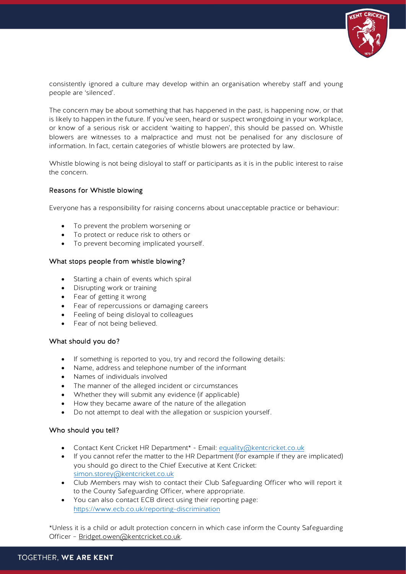

consistently ignored a culture may develop within an organisation whereby staff and young people are 'silenced'.

The concern may be about something that has happened in the past, is happening now, or that is likely to happen in the future. If you've seen, heard or suspect wrongdoing in your workplace, or know of a serious risk or accident 'waiting to happen', this should be passed on. Whistle blowers are witnesses to a malpractice and must not be penalised for any disclosure of information. In fact, certain categories of whistle blowers are protected by law.

Whistle blowing is not being disloyal to staff or participants as it is in the public interest to raise the concern.

### Reasons for Whistle blowing

Everyone has a responsibility for raising concerns about unacceptable practice or behaviour:

- To prevent the problem worsening or
- To protect or reduce risk to others or
- To prevent becoming implicated yourself.

## What stops people from whistle blowing?

- Starting a chain of events which spiral
- Disrupting work or training
- Fear of getting it wrong
- Fear of repercussions or damaging careers
- Feeling of being disloyal to colleagues
- Fear of not being believed.

### What should you do?

- If something is reported to you, try and record the following details:
- Name, address and telephone number of the informant
- Names of individuals involved
- The manner of the alleged incident or circumstances
- Whether they will submit any evidence (if applicable)
- How they became aware of the nature of the allegation
- Do not attempt to deal with the allegation or suspicion yourself.

### Who should you tell?

- Contact Kent Cricket HR Department<sup>\*</sup> Email: [equality@kentcricket.co.uk](mailto:equality@kent.cricket.co.uk)
- If you cannot refer the matter to the HR Department (for example if they are implicated) you should go direct to the Chief Executive at Kent Cricket: [simon.storey@kentcricket.co.uk](mailto:simon.storey@kentcricket.co.uk)
- Club Members may wish to contact their Club Safeguarding Officer who will report it to the County Safeguarding Officer, where appropriate.
- You can also contact ECB direct using their reporting page: <https://www.ecb.co.uk/reporting-discrimination>

\*Unless it is a child or adult protection concern in which case inform the County Safeguarding Officer – [Bridget.owen@kentcricket.co.uk.](mailto:Bridget.owen@kentcricket.co.uk)